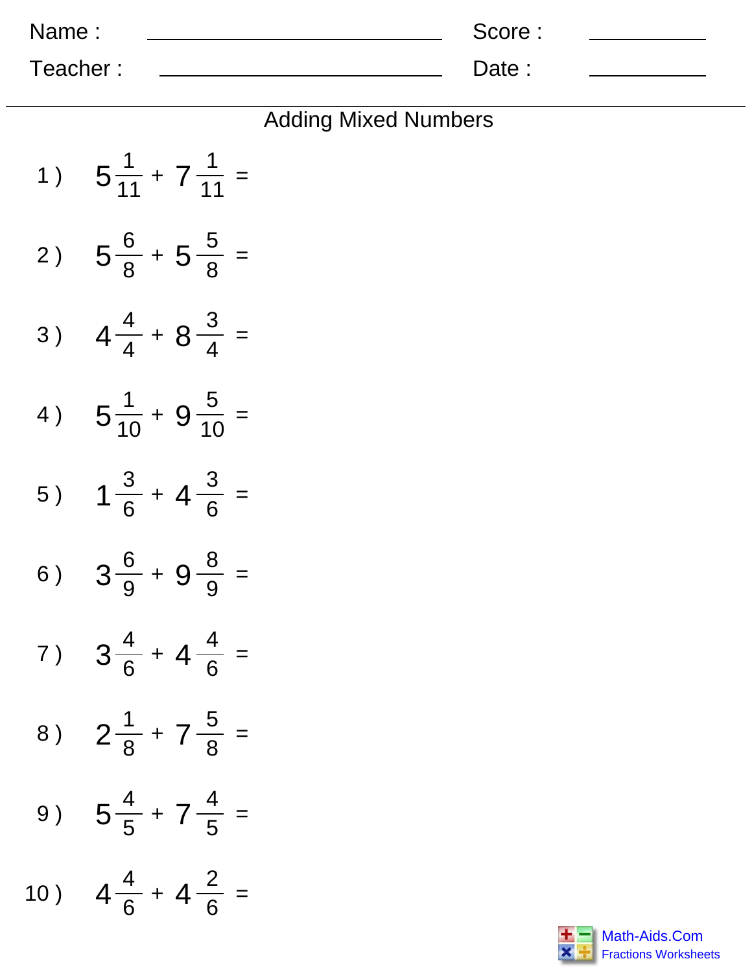| Name:    | Score: |  |
|----------|--------|--|
| Teacher: | Date:  |  |

| 1)  | $5\frac{1}{11} + 7\frac{1}{11} =$  |
|-----|------------------------------------|
| 2)  | $5\frac{6}{8}$ + 5 $\frac{5}{8}$ = |
| 3)  | $4\frac{4}{4} + 8\frac{3}{4}$ =    |
| 4)  | $5\frac{1}{10} + 9\frac{5}{10} =$  |
| 5)  | $1\frac{3}{6}$ + 4 $\frac{3}{6}$ = |
| 6)  | $3\frac{6}{9} + 9\frac{8}{9} =$    |
| 7)  | $3\frac{4}{6}$ + 4 $\frac{4}{6}$ = |
|     | 8) $2\frac{1}{8} + 7\frac{5}{8} =$ |
| 9)  | $5\frac{4}{5}$ + $7\frac{4}{5}$ =  |
| 10) | $4\frac{4}{6}$ + $4\frac{2}{6}$ =  |